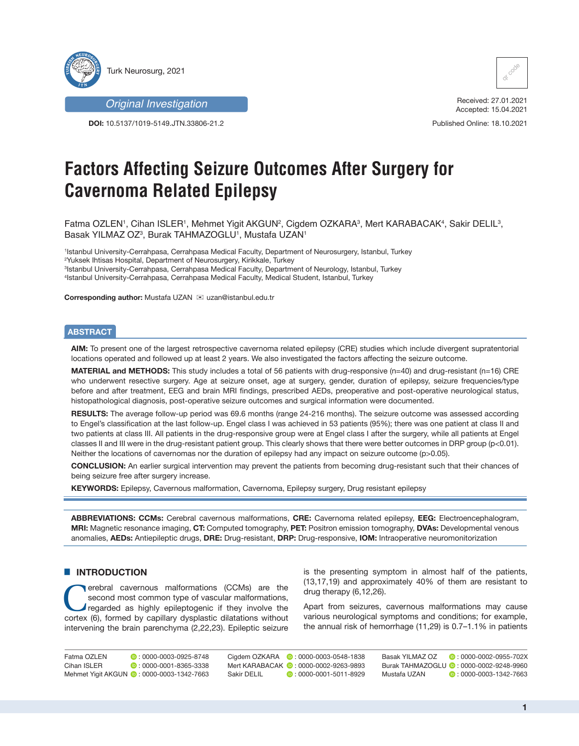

*Original Investigation*

**DOI:** 10.5137/1019-5149.JTN.33806-21.2



Received: 27.01.2021 Accepted: 15.04.2021

Published Online: 18.10.2021

# **Factors Affecting Seizure Outcomes After Surgery for Cavernoma Related Epilepsy**

Fatma OZLEN', Cihan ISLER', Mehmet Yigit AKGUN², Cigdem OZKARA<sup>3</sup>, Mert KARABACAK<sup>4</sup>, Sakir DELIL<sup>3</sup>, Basak YILMAZ OZ $^3$ , Burak TAHMAZOGLU $^1$ , Mustafa UZAN $^1$ 

 Istanbul University-Cerrahpasa, Cerrahpasa Medical Faculty, Department of Neurosurgery, Istanbul, Turkey Yuksek Ihtisas Hospital, Department of Neurosurgery, Kirikkale, Turkey Istanbul University-Cerrahpasa, Cerrahpasa Medical Faculty, Department of Neurology, Istanbul, Turkey Istanbul University-Cerrahpasa, Cerrahpasa Medical Faculty, Medical Student, Istanbul, Turkey

**Corresponding author: Mustafa UZAN ⊠ uzan@istanbul.edu.tr** 

# **ABSTRACT**

**AIM:** To present one of the largest retrospective cavernoma related epilepsy (CRE) studies which include divergent supratentorial locations operated and followed up at least 2 years. We also investigated the factors affecting the seizure outcome.

**MATERIAL and METHODS:** This study includes a total of 56 patients with drug-responsive (n=40) and drug-resistant (n=16) CRE who underwent resective surgery. Age at seizure onset, age at surgery, gender, duration of epilepsy, seizure frequencies/type before and after treatment, EEG and brain MRI findings, prescribed AEDs, preoperative and post-operative neurological status, histopathological diagnosis, post-operative seizure outcomes and surgical information were documented.

**RESULTS:** The average follow-up period was 69.6 months (range 24-216 months). The seizure outcome was assessed according to Engel's classification at the last follow-up. Engel class I was achieved in 53 patients (95%); there was one patient at class II and two patients at class III. All patients in the drug-responsive group were at Engel class I after the surgery, while all patients at Engel classes II and III were in the drug-resistant patient group. This clearly shows that there were better outcomes in DRP group (p<0.01). Neither the locations of cavernomas nor the duration of epilepsy had any impact on seizure outcome (p>0.05).

**CONCLUSION:** An earlier surgical intervention may prevent the patients from becoming drug-resistant such that their chances of being seizure free after surgery increase.

**KEYWORDS:** Epilepsy, Cavernous malformation, Cavernoma, Epilepsy surgery, Drug resistant epilepsy

**ABBREVIATIONS: CCMs:** Cerebral cavernous malformations, **CRE:** Cavernoma related epilepsy, **EEG:** Electroencephalogram, **MRI:** Magnetic resonance imaging, **CT:** Computed tomography, **PET:** Positron emission tomography, **DVAs:** Developmental venous anomalies, **AEDs:** Antiepileptic drugs, **DRE:** Drug-resistant, **DRP:** Drug-responsive, **IOM:** Intraoperative neuromonitorization

# **E INTRODUCTION**

erebral cavernous malformations (CCMs) are the second most common type of vascular malformations, regarded as highly epileptogenic if they involve the cortex (6), formed by capillary dysplastic dilatations without intervening the brain parenchyma (2,22,23). Epileptic seizure

is the presenting symptom in almost half of the patients, (13,17,19) and approximately 40% of them are resistant to drug therapy (6,12,26).

Apart from seizures, cavernous malformations may cause various neurological symptoms and conditions; for example, the annual risk of hemorrhage (11,29) is 0.7–1.1% in patients

| Fatma OZLEN | $\bullet$ : 0000-0003-0925-8748            | Ciadem OZKARA | $\bullet$ : 0000-0003-0548-1838         | Basak YILMAZ OZ | $\bullet$ : 0000-0002-0955-702X          |
|-------------|--------------------------------------------|---------------|-----------------------------------------|-----------------|------------------------------------------|
| Cihan ISLER | $\bullet$ : 0000-0001-8365-3338            |               | Mert KARABACAK (D: 0000-0002-9263-9893) |                 | Burak TAHMAZOGLU (D: 0000-0002-9248-9960 |
|             | Mehmet Yigit AKGUN (2: 0000-0003-1342-7663 | Sakir DELIL   | $\bullet$ : 0000-0001-5011-8929         | Mustafa UZAN    | $\bullet$ : 0000-0003-1342-7663          |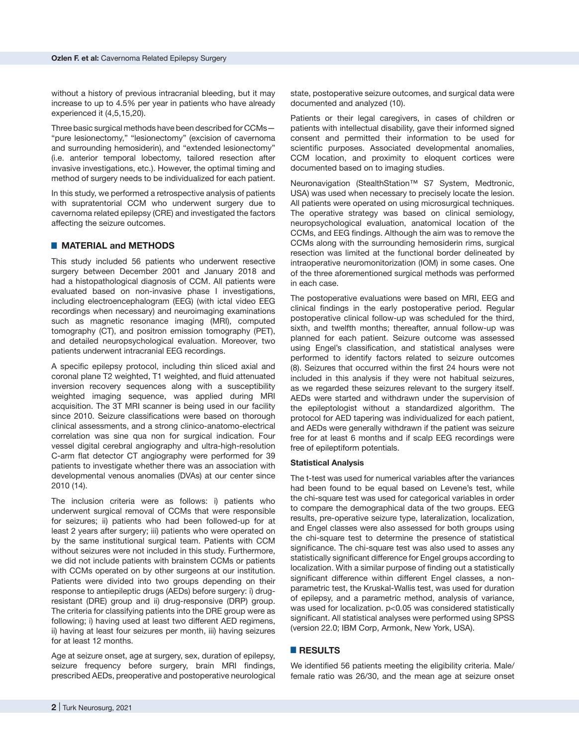without a history of previous intracranial bleeding, but it may increase to up to 4.5% per year in patients who have already experienced it (4,5,15,20).

Three basic surgical methods have been described for CCMs— "pure lesionectomy," "lesionectomy" (excision of cavernoma and surrounding hemosiderin), and "extended lesionectomy" (i.e. anterior temporal lobectomy, tailored resection after invasive investigations, etc.). However, the optimal timing and method of surgery needs to be individualized for each patient.

In this study, we performed a retrospective analysis of patients with supratentorial CCM who underwent surgery due to cavernoma related epilepsy (CRE) and investigated the factors affecting the seizure outcomes.

# █ **MATERIAL and METHODS**

This study included 56 patients who underwent resective surgery between December 2001 and January 2018 and had a histopathological diagnosis of CCM. All patients were evaluated based on non-invasive phase I investigations, including electroencephalogram (EEG) (with ictal video EEG recordings when necessary) and neuroimaging examinations such as magnetic resonance imaging (MRI), computed tomography (CT), and positron emission tomography (PET), and detailed neuropsychological evaluation. Moreover, two patients underwent intracranial EEG recordings.

A specific epilepsy protocol, including thin sliced axial and coronal plane T2 weighted, T1 weighted, and fluid attenuated inversion recovery sequences along with a susceptibility weighted imaging sequence, was applied during MRI acquisition. The 3T MRI scanner is being used in our facility since 2010. Seizure classifications were based on thorough clinical assessments, and a strong clinico-anatomo-electrical correlation was sine qua non for surgical indication. Four vessel digital cerebral angiography and ultra-high-resolution C-arm flat detector CT angiography were performed for 39 patients to investigate whether there was an association with developmental venous anomalies (DVAs) at our center since 2010 (14).

The inclusion criteria were as follows: i) patients who underwent surgical removal of CCMs that were responsible for seizures; ii) patients who had been followed-up for at least 2 years after surgery; iii) patients who were operated on by the same institutional surgical team. Patients with CCM without seizures were not included in this study. Furthermore, we did not include patients with brainstem CCMs or patients with CCMs operated on by other surgeons at our institution. Patients were divided into two groups depending on their response to antiepileptic drugs (AEDs) before surgery: i) drugresistant (DRE) group and ii) drug-responsive (DRP) group. The criteria for classifying patients into the DRE group were as following; i) having used at least two different AED regimens, ii) having at least four seizures per month, iii) having seizures for at least 12 months.

Age at seizure onset, age at surgery, sex, duration of epilepsy, seizure frequency before surgery, brain MRI findings, prescribed AEDs, preoperative and postoperative neurological

state, postoperative seizure outcomes, and surgical data were documented and analyzed (10).

Patients or their legal caregivers, in cases of children or patients with intellectual disability, gave their informed signed consent and permitted their information to be used for scientific purposes. Associated developmental anomalies, CCM location, and proximity to eloquent cortices were documented based on to imaging studies.

Neuronavigation (StealthStation<sup>™</sup> S7 System, Medtronic, USA) was used when necessary to precisely locate the lesion. All patients were operated on using microsurgical techniques. The operative strategy was based on clinical semiology, neuropsychological evaluation, anatomical location of the CCMs, and EEG findings. Although the aim was to remove the CCMs along with the surrounding hemosiderin rims, surgical resection was limited at the functional border delineated by intraoperative neuromonitorization (IOM) in some cases. One of the three aforementioned surgical methods was performed in each case.

The postoperative evaluations were based on MRI, EEG and clinical findings in the early postoperative period. Regular postoperative clinical follow-up was scheduled for the third, sixth, and twelfth months; thereafter, annual follow-up was planned for each patient. Seizure outcome was assessed using Engel's classification, and statistical analyses were performed to identify factors related to seizure outcomes (8). Seizures that occurred within the first 24 hours were not included in this analysis if they were not habitual seizures, as we regarded these seizures relevant to the surgery itself. AEDs were started and withdrawn under the supervision of the epileptologist without a standardized algorithm. The protocol for AED tapering was individualized for each patient, and AEDs were generally withdrawn if the patient was seizure free for at least 6 months and if scalp EEG recordings were free of epileptiform potentials.

#### **Statistical Analysis**

The t-test was used for numerical variables after the variances had been found to be equal based on Levene's test, while the chi-square test was used for categorical variables in order to compare the demographical data of the two groups. EEG results, pre-operative seizure type, lateralization, localization, and Engel classes were also assessed for both groups using the chi-square test to determine the presence of statistical significance. The chi-square test was also used to asses any statistically significant difference for Engel groups according to localization. With a similar purpose of finding out a statistically significant difference within different Engel classes, a nonparametric test, the Kruskal-Wallis test, was used for duration of epilepsy, and a parametric method, analysis of variance, was used for localization. p<0.05 was considered statistically significant. All statistical analyses were performed using SPSS (version 22.0; IBM Corp, Armonk, New York, USA).

# █ **RESULTS**

We identified 56 patients meeting the eligibility criteria. Male/ female ratio was 26/30, and the mean age at seizure onset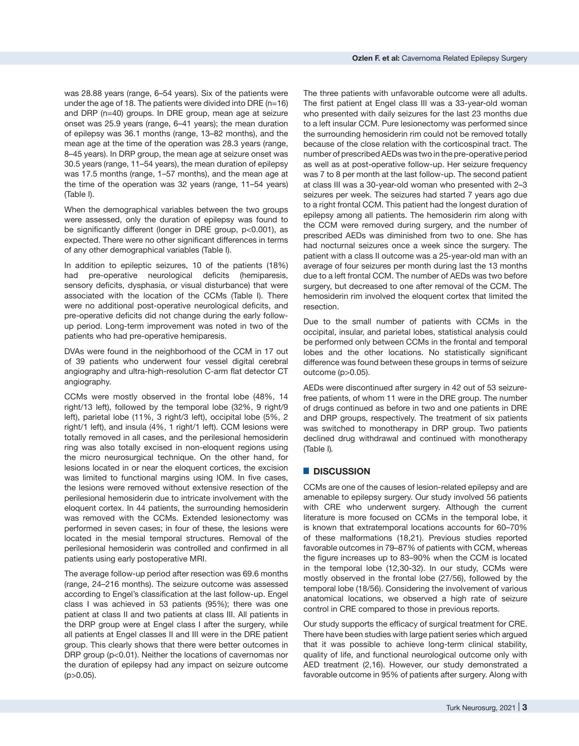was 28.88 years (range, 6–54 years). Six of the patients were under the age of 18. The patients were divided into DRE  $(n=16)$ and DRP (n=40) groups. In DRE group, mean age at seizure onset was 25.9 years (range, 6–41 years); the mean duration of epilepsy was 36.1 months (range, 13–82 months), and the mean age at the time of the operation was 28.3 years (range, 8–45 years). In DRP group, the mean age at seizure onset was 30.5 years (range, 11–54 years), the mean duration of epilepsy was 17.5 months (range, 1–57 months), and the mean age at the time of the operation was 32 years (range, 11–54 years) (Table I).

When the demographical variables between the two groups were assessed, only the duration of epilepsy was found to be significantly different (longer in DRE group, p<0.001), as expected. There were no other significant differences in terms of any other demographical variables (Table I).

In addition to epileptic seizures, 10 of the patients (18%) had pre-operative neurological deficits (hemiparesis, sensory deficits, dysphasia, or visual disturbance) that were associated with the location of the CCMs (Table I). There were no additional post-operative neurological deficits, and pre-operative deficits did not change during the early followup period. Long-term improvement was noted in two of the patients who had pre-operative hemiparesis.

DVAs were found in the neighborhood of the CCM in 17 out of 39 patients who underwent four vessel digital cerebral angiography and ultra-high-resolution C-arm flat detector CT angiography.

CCMs were mostly observed in the frontal lobe (48%, 14 right/13 left), followed by the temporal lobe (32%, 9 right/9 left), parietal lobe (11%, 3 right/3 left), occipital lobe (5%, 2 right/1 left), and insula (4%, 1 right/1 left). CCM lesions were totally removed in all cases, and the perilesional hemosiderin ring was also totally excised in non-eloquent regions using the micro neurosurgical technique. On the other hand, for lesions located in or near the eloquent cortices, the excision was limited to functional margins using IOM. In five cases, the lesions were removed without extensive resection of the perilesional hemosiderin due to intricate involvement with the eloquent cortex. In 44 patients, the surrounding hemosiderin was removed with the CCMs. Extended lesionectomy was performed in seven cases; in four of these, the lesions were located in the mesial temporal structures. Removal of the perilesional hemosiderin was controlled and confirmed in all patients using early postoperative MRI.

The average follow-up period after resection was 69.6 months (range, 24–216 months). The seizure outcome was assessed according to Engel's classification at the last follow-up. Engel class I was achieved in 53 patients (95%); there was one patient at class II and two patients at class III. All patients in the DRP group were at Engel class I after the surgery, while all patients at Engel classes II and III were in the DRE patient group. This clearly shows that there were better outcomes in DRP group (p<0.01). Neither the locations of cavernomas nor the duration of epilepsy had any impact on seizure outcome  $(p > 0.05)$ .

The three patients with unfavorable outcome were all adults. The first patient at Engel class III was a 33-year-old woman who presented with daily seizures for the last 23 months due to a left insular CCM. Pure lesionectomy was performed since the surrounding hemosiderin rim could not be removed totally because of the close relation with the corticospinal tract. The number of prescribed AEDs was two in the pre-operative period as well as at post-operative follow-up. Her seizure frequency was 7 to 8 per month at the last follow-up. The second patient at class III was a 30-year-old woman who presented with 2–3 seizures per week. The seizures had started 7 years ago due to a right frontal CCM. This patient had the longest duration of epilepsy among all patients. The hemosiderin rim along with the CCM were removed during surgery, and the number of prescribed AEDs was diminished from two to one. She has had nocturnal seizures once a week since the surgery. The patient with a class II outcome was a 25-year-old man with an average of four seizures per month during last the 13 months due to a left frontal CCM. The number of AEDs was two before surgery, but decreased to one after removal of the CCM. The hemosiderin rim involved the eloquent cortex that limited the resection.

Due to the small number of patients with CCMs in the occipital, insular, and parietal lobes, statistical analysis could be performed only between CCMs in the frontal and temporal lobes and the other locations. No statistically significant difference was found between these groups in terms of seizure outcome (p>0.05).

AEDs were discontinued after surgery in 42 out of 53 seizurefree patients, of whom 11 were in the DRE group. The number of drugs continued as before in two and one patients in DRE and DRP groups, respectively. The treatment of six patients was switched to monotherapy in DRP group. Two patients declined drug withdrawal and continued with monotherapy (Table I)*.* 

### █ **DISCUSSION**

CCMs are one of the causes of lesion-related epilepsy and are amenable to epilepsy surgery. Our study involved 56 patients with CRE who underwent surgery. Although the current literature is more focused on CCMs in the temporal lobe, it is known that extratemporal locations accounts for 60–70% of these malformations (18,21). Previous studies reported favorable outcomes in 79–87% of patients with CCM, whereas the figure increases up to 83–90% when the CCM is located in the temporal lobe (12,30-32). In our study, CCMs were mostly observed in the frontal lobe (27/56), followed by the temporal lobe (18/56). Considering the involvement of various anatomical locations, we observed a high rate of seizure control in CRE compared to those in previous reports.

Our study supports the efficacy of surgical treatment for CRE. There have been studies with large patient series which argued that it was possible to achieve long-term clinical stability, quality of life, and functional neurological outcome only with AED treatment (2,16). However, our study demonstrated a favorable outcome in 95% of patients after surgery. Along with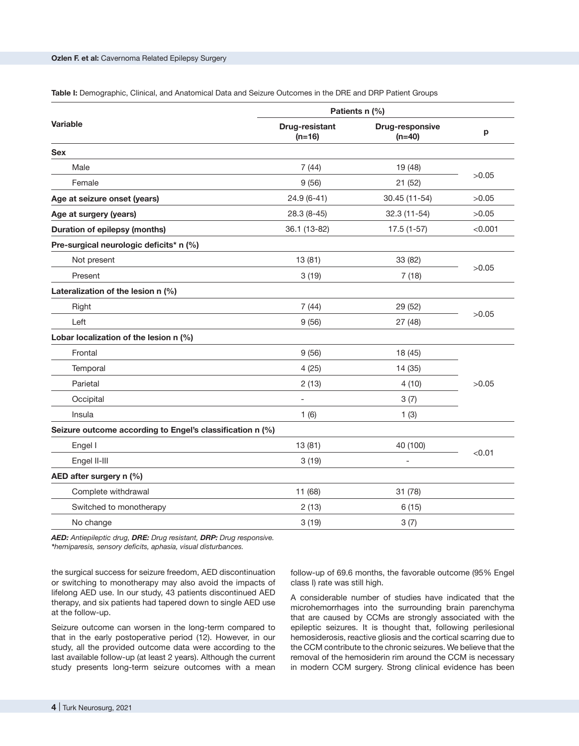| Table I: Demographic, Clinical, and Anatomical Data and Seizure Outcomes in the DRE and DRP Patient Groups |  |
|------------------------------------------------------------------------------------------------------------|--|
|------------------------------------------------------------------------------------------------------------|--|

|                                                           | Patients n (%)             |                             |         |  |  |
|-----------------------------------------------------------|----------------------------|-----------------------------|---------|--|--|
| <b>Variable</b>                                           | Drug-resistant<br>$(n=16)$ | Drug-responsive<br>$(n=40)$ | p       |  |  |
| <b>Sex</b>                                                |                            |                             |         |  |  |
| Male                                                      | 7(44)                      | 19 (48)                     | >0.05   |  |  |
| Female                                                    | 9(56)                      | 21(52)                      |         |  |  |
| Age at seizure onset (years)                              | $24.9(6-41)$               | 30.45 (11-54)               | >0.05   |  |  |
| Age at surgery (years)                                    | $28.3(8-45)$               | 32.3 (11-54)                | >0.05   |  |  |
| <b>Duration of epilepsy (months)</b>                      | 36.1 (13-82)               | $17.5(1-57)$                | < 0.001 |  |  |
| Pre-surgical neurologic deficits* n (%)                   |                            |                             |         |  |  |
| Not present                                               | 13(81)                     | 33 (82)                     |         |  |  |
| Present                                                   | 3(19)                      | 7(18)                       | >0.05   |  |  |
| Lateralization of the lesion n (%)                        |                            |                             |         |  |  |
| Right                                                     | 7(44)                      | 29 (52)                     |         |  |  |
| Left                                                      | 9(56)                      | 27(48)                      | >0.05   |  |  |
| Lobar localization of the lesion n (%)                    |                            |                             |         |  |  |
| Frontal                                                   | 9(56)                      | 18 (45)                     |         |  |  |
| Temporal                                                  | 4(25)                      | 14 (35)                     | >0.05   |  |  |
| Parietal                                                  | 2(13)                      | 4(10)                       |         |  |  |
| Occipital                                                 | $\overline{a}$             | 3(7)                        |         |  |  |
| Insula                                                    | 1(6)                       | 1(3)                        |         |  |  |
| Seizure outcome according to Engel's classification n (%) |                            |                             |         |  |  |
| Engel I                                                   | 13(81)                     | 40 (100)                    |         |  |  |
| Engel II-III                                              | 3(19)                      |                             | < 0.01  |  |  |
| AED after surgery n (%)                                   |                            |                             |         |  |  |
| Complete withdrawal                                       | 11 (68)                    | 31 (78)                     |         |  |  |
| Switched to monotherapy                                   | 2(13)                      | 6(15)                       |         |  |  |
| No change                                                 | 3(19)                      | 3(7)                        |         |  |  |

*AED: Antiepileptic drug, DRE: Drug resistant, DRP: Drug responsive. \*hemiparesis, sensory deficits, aphasia, visual disturbances.*

the surgical success for seizure freedom, AED discontinuation or switching to monotherapy may also avoid the impacts of lifelong AED use. In our study, 43 patients discontinued AED therapy, and six patients had tapered down to single AED use at the follow-up.

Seizure outcome can worsen in the long-term compared to that in the early postoperative period (12). However, in our study, all the provided outcome data were according to the last available follow-up (at least 2 years). Although the current study presents long-term seizure outcomes with a mean

follow-up of 69.6 months, the favorable outcome (95% Engel class I) rate was still high.

A considerable number of studies have indicated that the microhemorrhages into the surrounding brain parenchyma that are caused by CCMs are strongly associated with the epileptic seizures. It is thought that, following perilesional hemosiderosis, reactive gliosis and the cortical scarring due to the CCM contribute to the chronic seizures. We believe that the removal of the hemosiderin rim around the CCM is necessary in modern CCM surgery. Strong clinical evidence has been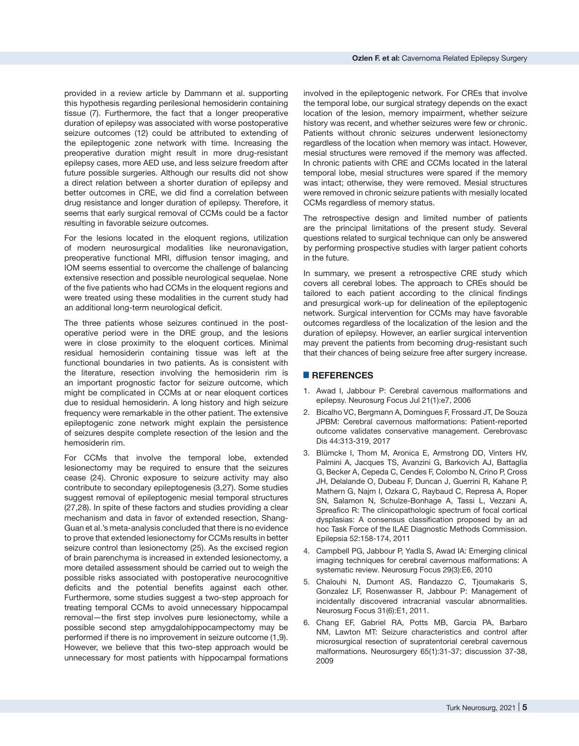provided in a review article by Dammann et al. supporting this hypothesis regarding perilesional hemosiderin containing tissue (7). Furthermore, the fact that a longer preoperative duration of epilepsy was associated with worse postoperative seizure outcomes (12) could be attributed to extending of the epileptogenic zone network with time. Increasing the preoperative duration might result in more drug-resistant epilepsy cases, more AED use, and less seizure freedom after future possible surgeries. Although our results did not show a direct relation between a shorter duration of epilepsy and better outcomes in CRE, we did find a correlation between drug resistance and longer duration of epilepsy. Therefore, it seems that early surgical removal of CCMs could be a factor resulting in favorable seizure outcomes.

For the lesions located in the eloquent regions, utilization of modern neurosurgical modalities like neuronavigation, preoperative functional MRI, diffusion tensor imaging, and IOM seems essential to overcome the challenge of balancing extensive resection and possible neurological sequelae. None of the five patients who had CCMs in the eloquent regions and were treated using these modalities in the current study had an additional long-term neurological deficit.

The three patients whose seizures continued in the postoperative period were in the DRE group, and the lesions were in close proximity to the eloquent cortices. Minimal residual hemosiderin containing tissue was left at the functional boundaries in two patients. As is consistent with the literature, resection involving the hemosiderin rim is an important prognostic factor for seizure outcome, which might be complicated in CCMs at or near eloquent cortices due to residual hemosiderin. A long history and high seizure frequency were remarkable in the other patient. The extensive epileptogenic zone network might explain the persistence of seizures despite complete resection of the lesion and the hemosiderin rim.

For CCMs that involve the temporal lobe, extended lesionectomy may be required to ensure that the seizures cease (24). Chronic exposure to seizure activity may also contribute to secondary epileptogenesis (3,27). Some studies suggest removal of epileptogenic mesial temporal structures (27,28). In spite of these factors and studies providing a clear mechanism and data in favor of extended resection, Shang-Guan et al.'s meta-analysis concluded that there is no evidence to prove that extended lesionectomy for CCMs results in better seizure control than lesionectomy (25). As the excised region of brain parenchyma is increased in extended lesionectomy, a more detailed assessment should be carried out to weigh the possible risks associated with postoperative neurocognitive deficits and the potential benefits against each other. Furthermore, some studies suggest a two-step approach for treating temporal CCMs to avoid unnecessary hippocampal removal—the first step involves pure lesionectomy, while a possible second step amygdalohippocampectomy may be performed if there is no improvement in seizure outcome (1,9). However, we believe that this two-step approach would be unnecessary for most patients with hippocampal formations involved in the epileptogenic network. For CREs that involve the temporal lobe, our surgical strategy depends on the exact location of the lesion, memory impairment, whether seizure history was recent, and whether seizures were few or chronic. Patients without chronic seizures underwent lesionectomy regardless of the location when memory was intact. However, mesial structures were removed if the memory was affected. In chronic patients with CRE and CCMs located in the lateral temporal lobe, mesial structures were spared if the memory was intact; otherwise, they were removed. Mesial structures were removed in chronic seizure patients with mesially located CCMs regardless of memory status.

The retrospective design and limited number of patients are the principal limitations of the present study. Several questions related to surgical technique can only be answered by performing prospective studies with larger patient cohorts in the future.

In summary, we present a retrospective CRE study which covers all cerebral lobes. The approach to CREs should be tailored to each patient according to the clinical findings and presurgical work-up for delineation of the epileptogenic network. Surgical intervention for CCMs may have favorable outcomes regardless of the localization of the lesion and the duration of epilepsy. However, an earlier surgical intervention may prevent the patients from becoming drug-resistant such that their chances of being seizure free after surgery increase.

# █ **REFERENCES**

- 1. Awad I, Jabbour P: Cerebral cavernous malformations and epilepsy. Neurosurg Focus Jul 21(1):e7, 2006
- 2. Bicalho VC, Bergmann A, Domingues F, Frossard JT, De Souza JPBM: Cerebral cavernous malformations: Patient-reported outcome validates conservative management. Cerebrovasc Dis 44:313-319, 2017
- 3. Blümcke I, Thom M, Aronica E, Armstrong DD, Vinters HV, Palmini A, Jacques TS, Avanzini G, Barkovich AJ, Battaglia G, Becker A, Cepeda C, Cendes F, Colombo N, Crino P, Cross JH, Delalande O, Dubeau F, Duncan J, Guerrini R, Kahane P, Mathern G, Najm I, Ozkara C, Raybaud C, Represa A, Roper SN, Salamon N, Schulze-Bonhage A, Tassi L, Vezzani A, Spreafico R: The clinicopathologic spectrum of focal cortical dysplasias: A consensus classification proposed by an ad hoc Task Force of the ILAE Diagnostic Methods Commission. Epilepsia 52:158-174, 2011
- 4. Campbell PG, Jabbour P, Yadla S, Awad IA: Emerging clinical imaging techniques for cerebral cavernous malformations: A systematic review. Neurosurg Focus 29(3):E6, 2010
- 5. Chalouhi N, Dumont AS, Randazzo C, Tjoumakaris S, Gonzalez LF, Rosenwasser R, Jabbour P: Management of incidentally discovered intracranial vascular abnormalities. Neurosurg Focus 31(6):E1, 2011.
- 6. Chang EF, Gabriel RA, Potts MB, Garcia PA, Barbaro NM, Lawton MT: Seizure characteristics and control after microsurgical resection of supratentorial cerebral cavernous malformations. Neurosurgery 65(1):31-37; discussion 37-38, 2009